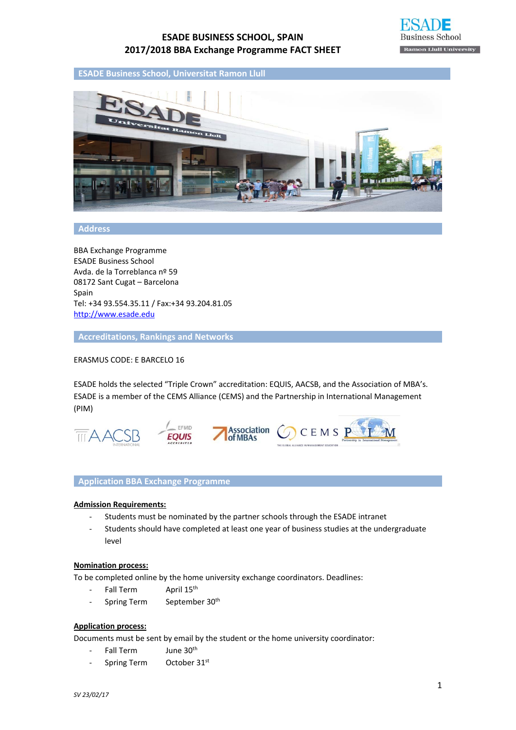

**ESADE Business School, Universitat Ramon Llull**



#### **Address**

BBA Exchange Programme ESADE Business School Avda. de la Torreblanca nº 59 08172 Sant Cugat – Barcelona Spain Tel: +34 93.554.35.11 / Fax:+34 93.204.81.05 http://www.esade.edu

**Accreditations, Rankings and Networks**

ERASMUS CODE: E BARCELO 16

ESADE holds the selected "Triple Crown" accreditation: EQUIS, AACSB, and the Association of MBA's. ESADE is a member of the CEMS Alliance (CEMS) and the Partnership in International Management (PIM)



# **Application BBA Exchange Programme**

#### **Admission Requirements:**

- ‐ Students must be nominated by the partner schools through the ESADE intranet
- ‐ Students should have completed at least one year of business studies at the undergraduate level

#### **Nomination process:**

To be completed online by the home university exchange coordinators. Deadlines:

- Fall Term April 15<sup>th</sup>
- Spring Term September 30<sup>th</sup>

## **Application process:**

Documents must be sent by email by the student or the home university coordinator:

- Fall Term June 30<sup>th</sup>
- Spring Term October 31st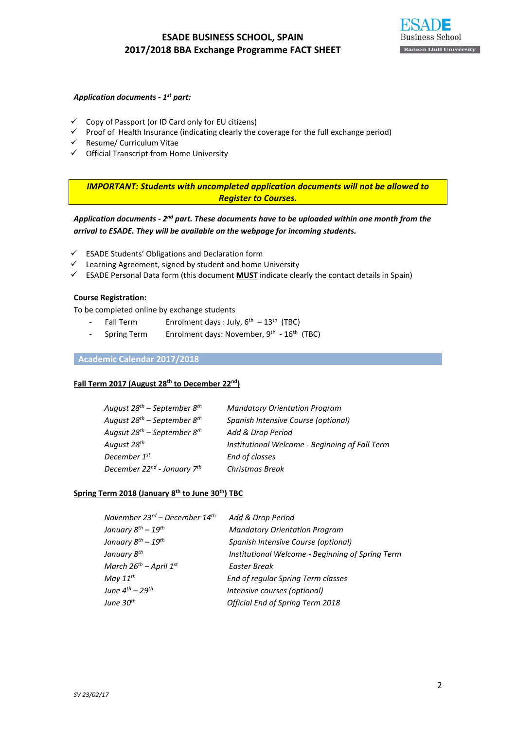#### *Application documents ‐ 1st part:*

- $\checkmark$  Copy of Passport (or ID Card only for EU citizens)
- $\checkmark$  Proof of Health Insurance (indicating clearly the coverage for the full exchange period)
- $\checkmark$  Resume/ Curriculum Vitae
- $\checkmark$  Official Transcript from Home University

*IMPORTANT: Students with uncompleted application documents will not be allowed to Register to Courses.*

*Application documents ‐ 2nd part. These documents have to be uploaded within one month from the arrival to ESADE. They will be available on the webpage for incoming students.*

- $\checkmark$  ESADE Students' Obligations and Declaration form
- $\checkmark$  Learning Agreement, signed by student and home University
- $\checkmark$  ESADE Personal Data form (this document **MUST** indicate clearly the contact details in Spain)

#### **Course Registration:**

To be completed online by exchange students

- Fall Term Enrolment days : July,  $6^{th} 13^{th}$  (TBC)
- Spring Term Enrolment days: November, 9<sup>th</sup> 16<sup>th</sup> (TBC)

### **Academic Calendar 2017/2018**

## **Fall Term 2017 (August 28th to December 22nd)**

| <b>Mandatory Orientation Program</b>           |
|------------------------------------------------|
| Spanish Intensive Course (optional)            |
| Add & Drop Period                              |
| Institutional Welcome - Beginning of Fall Term |
| End of classes                                 |
| Christmas Break                                |
|                                                |

## **Spring Term 2018 (January 8th to June 30th) TBC**

| November $23^{rd}$ – December $14^{th}$ | Add & Drop Period                                |
|-----------------------------------------|--------------------------------------------------|
| January $8^{th}$ – $19^{th}$            | <b>Mandatory Orientation Program</b>             |
| January $8^{th}$ – 19 <sup>th</sup>     | Spanish Intensive Course (optional)              |
| January 8 <sup>th</sup>                 | Institutional Welcome - Beginning of Spring Term |
| March $26^{th}$ – April $1^{st}$        | Easter Break                                     |
| May $11^{th}$                           | End of regular Spring Term classes               |
| June $4^{th}$ – 29 <sup>th</sup>        | Intensive courses (optional)                     |
| June 30 <sup>th</sup>                   | <b>Official End of Spring Term 2018</b>          |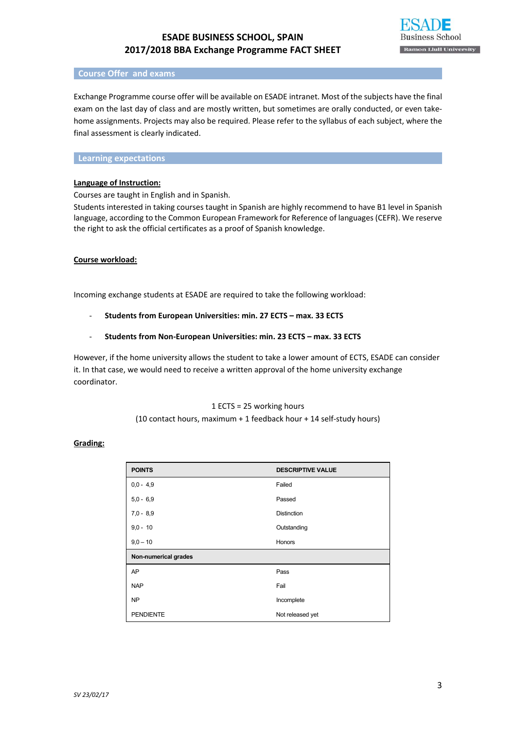

#### **Course Offer and exams**

Exchange Programme course offer will be available on ESADE intranet. Most of the subjects have the final exam on the last day of class and are mostly written, but sometimes are orally conducted, or even take‐ home assignments. Projects may also be required. Please refer to the syllabus of each subject, where the final assessment is clearly indicated.

### **Learning expectations**

### **Language of Instruction:**

Courses are taught in English and in Spanish.

Students interested in taking courses taught in Spanish are highly recommend to have B1 level in Spanish language, according to the Common European Framework for Reference of languages (CEFR). We reserve the right to ask the official certificates as a proof of Spanish knowledge.

#### **Course workload:**

Incoming exchange students at ESADE are required to take the following workload:

‐ **Students from European Universities: min. 27 ECTS – max. 33 ECTS**

### ‐ **Students from Non‐European Universities: min. 23 ECTS – max. 33 ECTS**

However, if the home university allows the student to take a lower amount of ECTS, ESADE can consider it. In that case, we would need to receive a written approval of the home university exchange coordinator.

## 1 ECTS = 25 working hours (10 contact hours, maximum + 1 feedback hour + 14 self‐study hours)

### **Grading:**

| <b>POINTS</b>        | <b>DESCRIPTIVE VALUE</b> |
|----------------------|--------------------------|
| $0.0 - 4.9$          | Failed                   |
| $5.0 - 6.9$          | Passed                   |
| $7.0 - 8.9$          | <b>Distinction</b>       |
| $9.0 - 10$           | Outstanding              |
| $9.0 - 10$           | Honors                   |
| Non-numerical grades |                          |
| AP                   | Pass                     |
| <b>NAP</b>           | Fail                     |
| N <sub>P</sub>       | Incomplete               |
| <b>PENDIENTE</b>     | Not released yet         |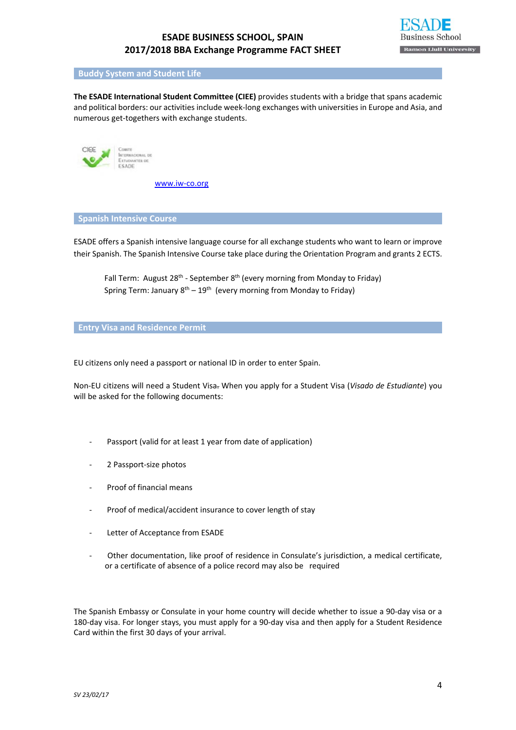

#### **Buddy System and Student Life**

**The ESADE International Student Committee (CIEE)** provides students with a bridge that spans academic and political borders: our activities include week‐long exchanges with universities in Europe and Asia, and numerous get-togethers with exchange students.



www.iw‐co.org

**Spanish Intensive Course**

ESADE offers a Spanish intensive language course for all exchange students who want to learn or improve their Spanish. The Spanish Intensive Course take place during the Orientation Program and grants 2 ECTS.

Fall Term: August 28<sup>th</sup> - September 8<sup>th</sup> (every morning from Monday to Friday) Spring Term: January  $8^{th} - 19^{th}$  (every morning from Monday to Friday)

### **Entry Visa and Residence Permit**

EU citizens only need a passport or national ID in order to enter Spain.

Non‐EU citizens will need a Student Visa. When you apply for a Student Visa (*Visado de Estudiante*) you will be asked for the following documents:

- ‐ Passport (valid for at least 1 year from date of application)
- ‐ 2 Passport‐size photos
- ‐ Proof of financial means
- ‐ Proof of medical/accident insurance to cover length of stay
- Letter of Acceptance from ESADE
- ‐ Other documentation, like proof of residence in Consulate's jurisdiction, a medical certificate, or a certificate of absence of a police record may also be required

The Spanish Embassy or Consulate in your home country will decide whether to issue a 90‐day visa or a 180-day visa. For longer stays, you must apply for a 90-day visa and then apply for a Student Residence Card within the first 30 days of your arrival.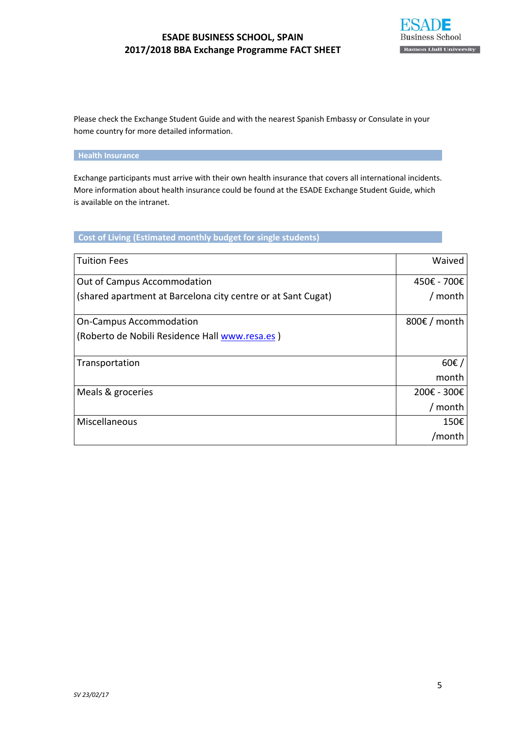

Please check the Exchange Student Guide and with the nearest Spanish Embassy or Consulate in your home country for more detailed information.

# **Health Insurance**

Exchange participants must arrive with their own health insurance that covers all international incidents. More information about health insurance could be found at the ESADE Exchange Student Guide, which is available on the intranet.

# **Cost of Living (Estimated monthly budget for single students)**

| <b>Tuition Fees</b>                                          | Waived                 |
|--------------------------------------------------------------|------------------------|
| Out of Campus Accommodation                                  | 450€ - 700€            |
| (shared apartment at Barcelona city centre or at Sant Cugat) | / month                |
|                                                              |                        |
| <b>On-Campus Accommodation</b>                               | 800 $\epsilon$ / month |
| (Roberto de Nobili Residence Hall www.resa.es)               |                        |
|                                                              |                        |
| Transportation                                               | $60 \epsilon$ /        |
|                                                              | month                  |
| Meals & groceries                                            | 200€ - 300€            |
|                                                              | month                  |
| Miscellaneous                                                | 150€                   |
|                                                              | /month                 |